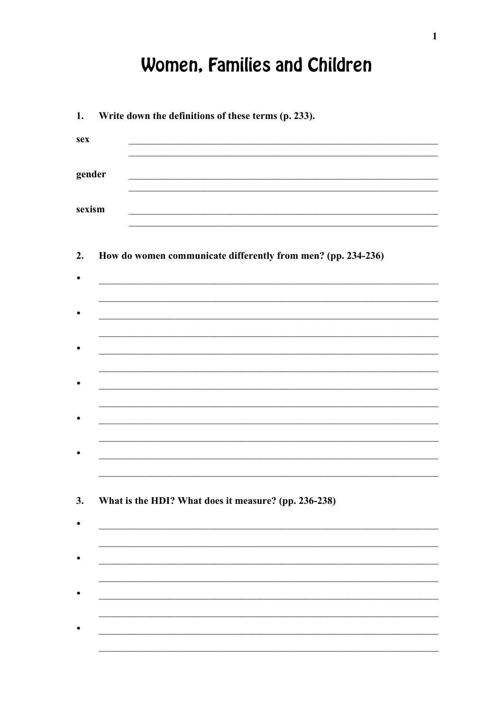## Women, Families and Children

| 1.        | Write down the definitions of these terms (p. 233).                                       |
|-----------|-------------------------------------------------------------------------------------------|
| sex       | the control of the control of the control of the control of the control of the control of |
| gender    |                                                                                           |
| sexism    |                                                                                           |
| 2.        | How do women communicate differently from men? (pp. 234-236)                              |
| $\bullet$ |                                                                                           |
|           |                                                                                           |
|           |                                                                                           |
|           |                                                                                           |
|           |                                                                                           |
|           |                                                                                           |
|           |                                                                                           |
|           |                                                                                           |
|           |                                                                                           |
| 3.        | What is the HDI? What does it measure? (pp. 236-238)                                      |
|           |                                                                                           |
|           |                                                                                           |
|           |                                                                                           |
|           |                                                                                           |
|           |                                                                                           |
|           |                                                                                           |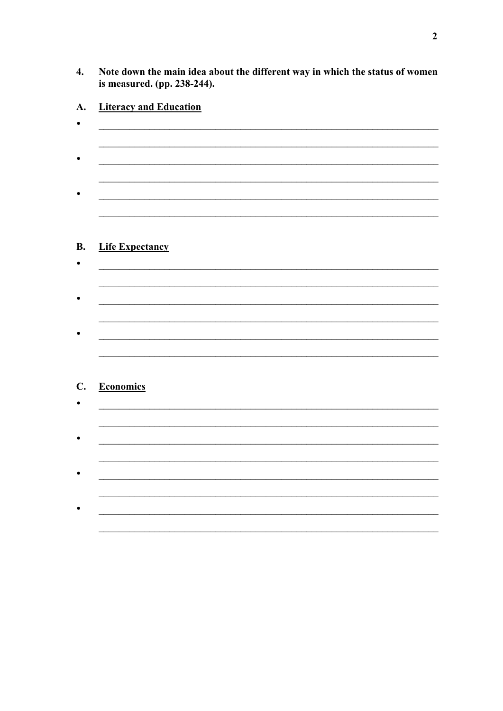Note down the main idea about the different way in which the status of women  $\overline{4}$ . is measured. (pp. 238-244).

| <b>Life Expectancy</b> |  |  |
|------------------------|--|--|
|                        |  |  |
|                        |  |  |
|                        |  |  |
|                        |  |  |
|                        |  |  |
|                        |  |  |
|                        |  |  |
|                        |  |  |
| <b>Economics</b>       |  |  |
|                        |  |  |
|                        |  |  |
|                        |  |  |
|                        |  |  |
|                        |  |  |
|                        |  |  |
|                        |  |  |
|                        |  |  |
|                        |  |  |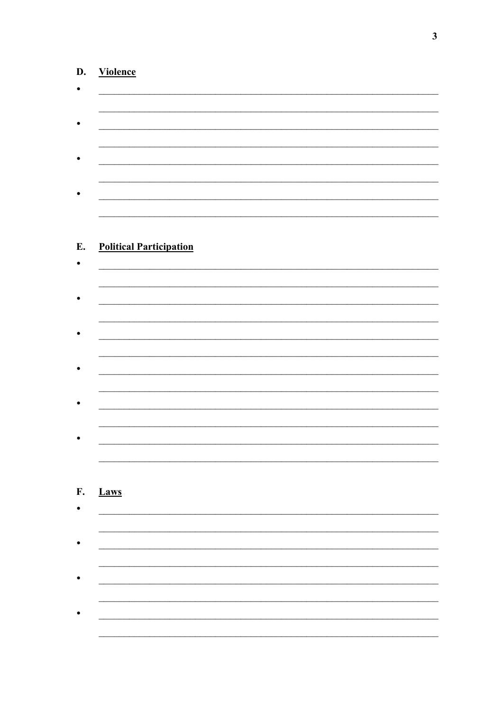## D. Violence

 $\bullet$ 

 $\bullet$ 

|      | <b>Political Participation</b> |  |  |  |
|------|--------------------------------|--|--|--|
|      |                                |  |  |  |
|      |                                |  |  |  |
|      |                                |  |  |  |
|      |                                |  |  |  |
|      |                                |  |  |  |
|      |                                |  |  |  |
|      |                                |  |  |  |
|      |                                |  |  |  |
|      |                                |  |  |  |
|      |                                |  |  |  |
|      |                                |  |  |  |
|      |                                |  |  |  |
|      |                                |  |  |  |
|      |                                |  |  |  |
|      |                                |  |  |  |
|      |                                |  |  |  |
|      |                                |  |  |  |
|      |                                |  |  |  |
| Laws |                                |  |  |  |

<u> 1989 - Johann Stoff, deutscher Stoffen und der Stoffen und der Stoffen und der Stoffen und der Stoffen und de</u>

<u> 1989 - Jan James James James James James James James James James James James James James James James James J</u>

<u> 1989 - Johann John Stein, mars ar yw i brenin y cynnwys y cynnwys y cynnwys y cynnwys y cynnwys y cynnwys y c</u>

<u> 1989 - Johann Barbara, martxa amerikan basar da</u>

 $\overline{\mathbf{3}}$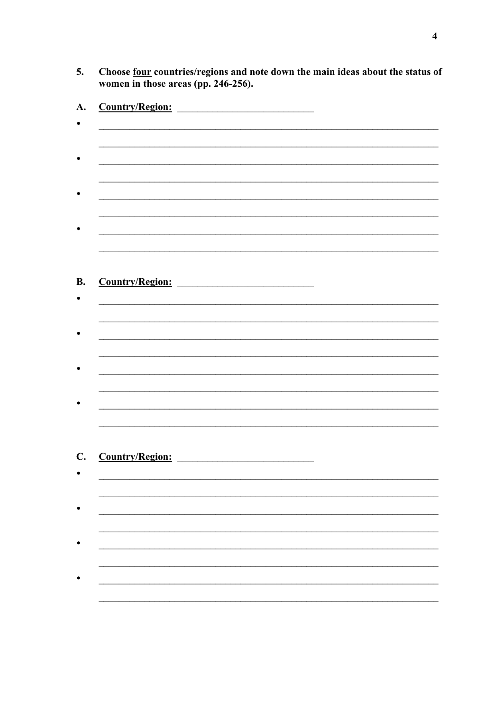Choose <u>four</u> countries/regions and note down the main ideas about the status of women in those areas (pp. 246-256). 5.

| Country/Region: |  |
|-----------------|--|
|                 |  |
|                 |  |
|                 |  |
|                 |  |
|                 |  |
|                 |  |
|                 |  |
|                 |  |
|                 |  |
|                 |  |
| Country/Region: |  |
|                 |  |
|                 |  |
|                 |  |
|                 |  |
|                 |  |
|                 |  |
|                 |  |
|                 |  |
|                 |  |
|                 |  |
|                 |  |
| Country/Region: |  |
|                 |  |
|                 |  |
|                 |  |
|                 |  |
|                 |  |
|                 |  |
|                 |  |
|                 |  |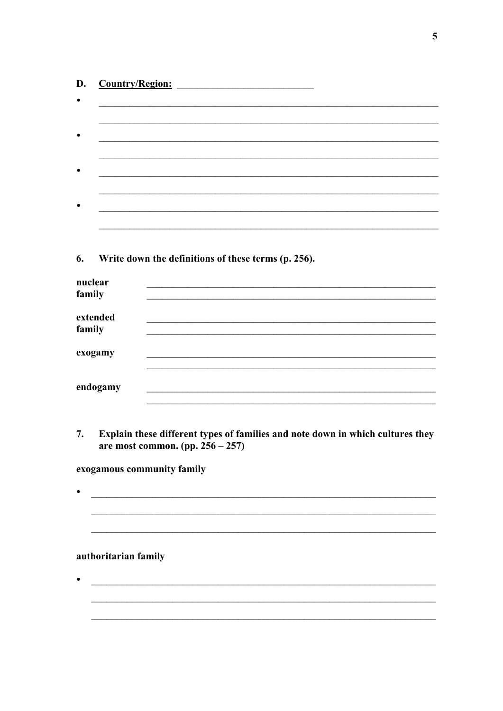| D.      | <b>Country/Region:</b>                                                                                                |
|---------|-----------------------------------------------------------------------------------------------------------------------|
| ٠       |                                                                                                                       |
|         |                                                                                                                       |
|         |                                                                                                                       |
|         |                                                                                                                       |
|         |                                                                                                                       |
|         |                                                                                                                       |
|         |                                                                                                                       |
|         |                                                                                                                       |
|         |                                                                                                                       |
| 6.      | Write down the definitions of these terms (p. 256).                                                                   |
| nuclear |                                                                                                                       |
| family  |                                                                                                                       |
|         | extended                                                                                                              |
| family  |                                                                                                                       |
|         | exogamy                                                                                                               |
|         |                                                                                                                       |
|         | endogamy                                                                                                              |
|         |                                                                                                                       |
| 7.      | Explain these different types of families and note down in which cultures they<br>are most common. (pp. $256 - 257$ ) |
|         |                                                                                                                       |

exogamous community family

## authoritarian family

 $\bullet$ 

 $\overline{\phantom{a}}$ 

 $\bullet$ <u> Alexandro de la contrada de la contrada de la contrada de la contrada de la contrada de la contrada de la co</u> 

<u> 1989 - Andrea Station Barbara, amerikan bahasa perangan perangan perangan perangan perangan perangan perangan</u>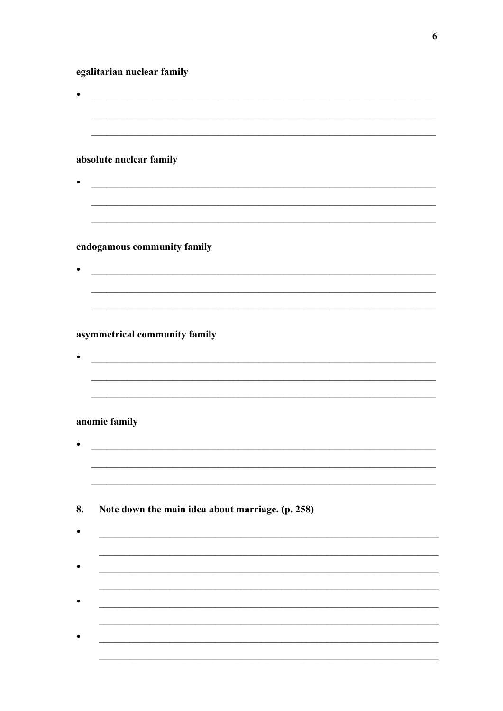egalitarian nuclear family

|    | absolute nuclear family                                                                                                |
|----|------------------------------------------------------------------------------------------------------------------------|
|    | <u> 1980 - Johann Barn, mars ann an t-Amhain ann an t-Amhain an t-Amhain an t-Amhain an t-Amhain an t-Amhain an t-</u> |
|    | endogamous community family                                                                                            |
|    |                                                                                                                        |
|    | asymmetrical community family                                                                                          |
|    | anomie family                                                                                                          |
| 8. | Note down the main idea about marriage. (p. 258)                                                                       |
|    |                                                                                                                        |
|    |                                                                                                                        |
|    |                                                                                                                        |